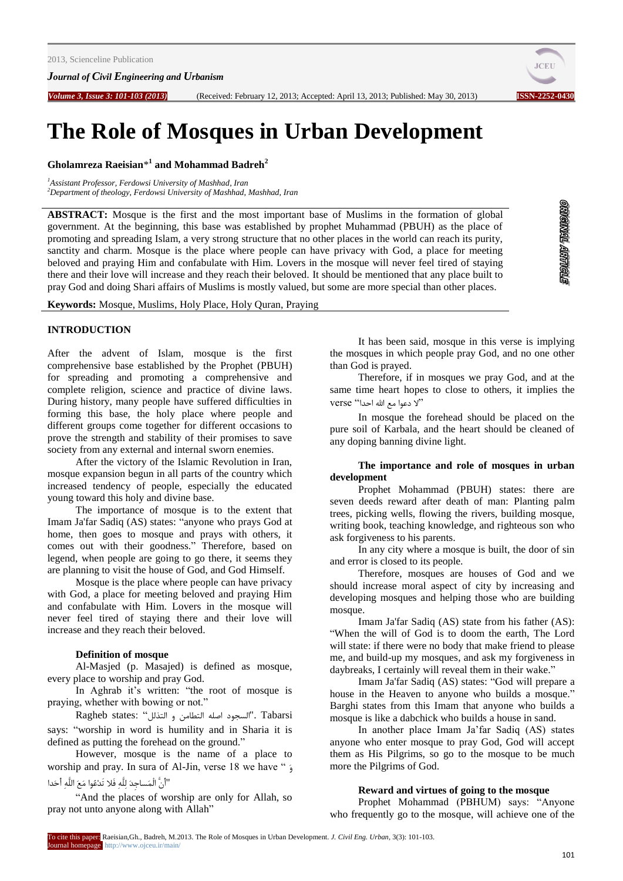*Journal of Civil Engineering and Urbanism*

*Volume 3, Issue 3: 101-103 (2013)* (Received: February 12, 2013; Accepted: April 13, 2013; Published: May 30, 2013) **ISSN-2252-0430**



# **The Role of Mosques in Urban Development**

**Gholamreza Raeisian**\* **1 and Mohammad Badreh<sup>2</sup>**

*<sup>1</sup>Assistant Professor, Ferdowsi University of Mashhad, Iran <sup>2</sup>Department of theology, Ferdowsi University of Mashhad, Mashhad, Iran*

**ABSTRACT:** Mosque is the first and the most important base of Muslims in the formation of global government. At the beginning, this base was established by prophet Muhammad (PBUH) as the place of promoting and spreading Islam, a very strong structure that no other places in the world can reach its purity, sanctity and charm. Mosque is the place where people can have privacy with God, a place for meeting beloved and praying Him and confabulate with Him. Lovers in the mosque will never feel tired of staying there and their love will increase and they reach their beloved. It should be mentioned that any place built to pray God and doing Shari affairs of Muslims is mostly valued, but some are more special than other places.

**ORIGINAL ARTIGLE** 

**Keywords:** Mosque, Muslims, Holy Place, Holy Quran, Praying

# **INTRODUCTION**

After the advent of Islam, mosque is the first comprehensive base established by the Prophet (PBUH) for spreading and promoting a comprehensive and complete religion, science and practice of divine laws. During history, many people have suffered difficulties in forming this base, the holy place where people and different groups come together for different occasions to prove the strength and stability of their promises to save society from any external and internal sworn enemies.

After the victory of the Islamic Revolution in Iran, mosque expansion begun in all parts of the country which increased tendency of people, especially the educated young toward this holy and divine base.

The importance of mosque is to the extent that Imam Ja'far Sadiq (AS) states: "anyone who prays God at home, then goes to mosque and prays with others, it comes out with their goodness." Therefore, based on legend, when people are going to go there, it seems they are planning to visit the house of God, and God Himself.

Mosque is the place where people can have privacy with God, a place for meeting beloved and praying Him and confabulate with Him. Lovers in the mosque will never feel tired of staying there and their love will increase and they reach their beloved.

#### **Definition of mosque**

Al-Masjed (p. Masajed) is defined as mosque, every place to worship and pray God.

In Aghrab it's written: "the root of mosque is praying, whether with bowing or not."

Ragheb states: "السجود اصله التطامن و التذلل": Ragheb states: says: "worship in word is humility and in Sharia it is defined as putting the forehead on the ground."

However, mosque is the name of a place to worship and pray. In sura of Al-Jin, verse 18 we have " ٍَ "أَىَّ الْوَساجِدَ لِلَّهِ فَال تَدِعَُا هَعَ اللَّهِ أَحَدا

"And the places of worship are only for Allah, so pray not unto anyone along with Allah"

It has been said, mosque in this verse is implying the mosques in which people pray God, and no one other than God is prayed.

Therefore, if in mosques we pray God, and at the same time heart hopes to close to others, it implies the verse "الا دعوا مع الله احدا"

In mosque the forehead should be placed on the pure soil of Karbala, and the heart should be cleaned of any doping banning divine light.

#### **The importance and role of mosques in urban development**

Prophet Mohammad (PBUH) states: there are seven deeds reward after death of man: Planting palm trees, picking wells, flowing the rivers, building mosque, writing book, teaching knowledge, and righteous son who ask forgiveness to his parents.

In any city where a mosque is built, the door of sin and error is closed to its people.

Therefore, mosques are houses of God and we should increase moral aspect of city by increasing and developing mosques and helping those who are building mosque.

Imam Ja'far Sadiq (AS) state from his father (AS): "When the will of God is to doom the earth, The Lord will state: if there were no body that make friend to please me, and build-up my mosques, and ask my forgiveness in daybreaks, I certainly will reveal them in their wake."

Imam Ja'far Sadiq (AS) states: "God will prepare a house in the Heaven to anyone who builds a mosque." Barghi states from this Imam that anyone who builds a mosque is like a dabchick who builds a house in sand.

In another place Imam Ja'far Sadiq (AS) states anyone who enter mosque to pray God, God will accept them as His Pilgrims, so go to the mosque to be much more the Pilgrims of God.

## **Reward and virtues of going to the mosque**

Prophet Mohammad (PBHUM) says: "Anyone who frequently go to the mosque, will achieve one of the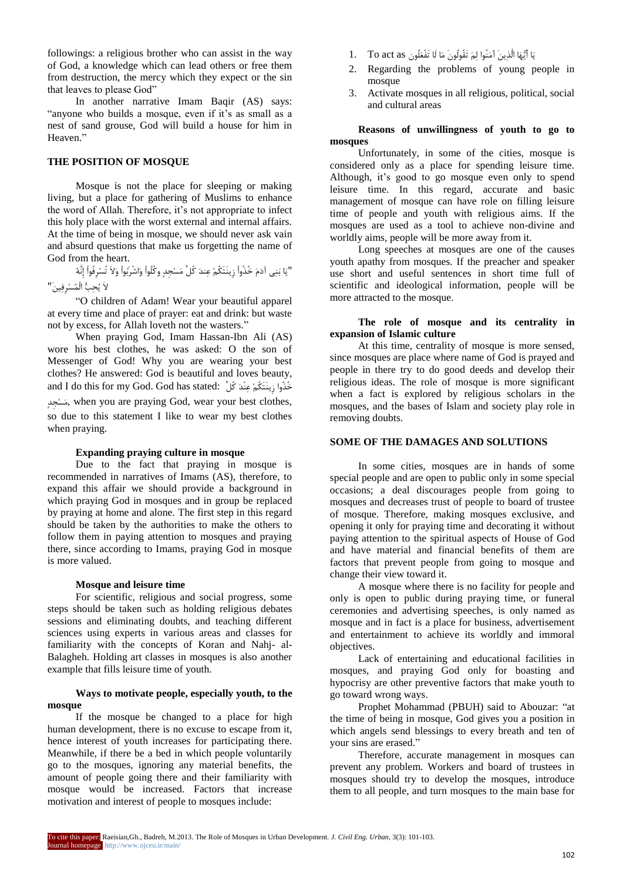followings: a religious brother who can assist in the way of God, a knowledge which can lead others or free them from destruction, the mercy which they expect or the sin that leaves to please God"

In another narrative Imam Baqir (AS) says: "anyone who builds a mosque, even if it's as small as a nest of sand grouse, God will build a house for him in Heaven."

# **THE POSITION OF MOSQUE**

Mosque is not the place for sleeping or making living, but a place for gathering of Muslims to enhance the word of Allah. Therefore, it's not appropriate to infect this holy place with the worst external and internal affairs. At the time of being in mosque, we should never ask vain and absurd questions that make us forgetting the name of God from the heart.

"يَا بٌَِي آدَمَ خُذٍُاْ سِيٌَتَكُنِ عٌِدَ كُلِّ هَسِجِدٍ ٍكُلَُاْ ٍَاشْزَبَُاْ ٍَالَ تُسِزِفَُاْ إًَِّهُ الَ يُحِبُّ الْوُسِزِفِييَ"

"O children of Adam! Wear your beautiful apparel at every time and place of prayer: eat and drink: but waste not by excess, for Allah loveth not the wasters."

When praying God, Imam Hassan-Ibn Ali (AS) wore his best clothes, he was asked: O the son of Messenger of God! Why you are wearing your best clothes? He answered: God is beautiful and loves beauty, and I do this for my God. God has stated: خُذُوا زِينَتَكُمْ عِنْدَ كُلِّ ِمَسْجِدٍ, when you are praying God, wear your best clothes, so due to this statement I like to wear my best clothes when praying.

#### **Expanding praying culture in mosque**

Due to the fact that praying in mosque is recommended in narratives of Imams (AS), therefore, to expand this affair we should provide a background in which praying God in mosques and in group be replaced by praying at home and alone. The first step in this regard should be taken by the authorities to make the others to follow them in paying attention to mosques and praying there, since according to Imams, praying God in mosque is more valued.

#### **Mosque and leisure time**

For scientific, religious and social progress, some steps should be taken such as holding religious debates sessions and eliminating doubts, and teaching different sciences using experts in various areas and classes for familiarity with the concepts of Koran and Nahj- al-Balagheh. Holding art classes in mosques is also another example that fills leisure time of youth.

# **Ways to motivate people, especially youth, to the mosque**

If the mosque be changed to a place for high human development, there is no excuse to escape from it, hence interest of youth increases for participating there. Meanwhile, if there be a bed in which people voluntarily go to the mosques, ignoring any material benefits, the amount of people going there and their familiarity with mosque would be increased. Factors that increase motivation and interest of people to mosques include:

- يَا أَيُّهَا الَّذِينَ آَمَنُوا لِمَ تَقُولُونَ مَا لَا تَفْعَلُونِ 1. To act as .
- 2. Regarding the problems of young people in mosque
- 3. Activate mosques in all religious, political, social and cultural areas

**Reasons of unwillingness of youth to go to mosques** 

Unfortunately, in some of the cities, mosque is considered only as a place for spending leisure time. Although, it's good to go mosque even only to spend leisure time. In this regard, accurate and basic management of mosque can have role on filling leisure time of people and youth with religious aims. If the mosques are used as a tool to achieve non-divine and worldly aims, people will be more away from it.

Long speeches at mosques are one of the causes youth apathy from mosques. If the preacher and speaker use short and useful sentences in short time full of scientific and ideological information, people will be more attracted to the mosque.

# **The role of mosque and its centrality in expansion of Islamic culture**

At this time, centrality of mosque is more sensed, since mosques are place where name of God is prayed and people in there try to do good deeds and develop their religious ideas. The role of mosque is more significant when a fact is explored by religious scholars in the mosques, and the bases of Islam and society play role in removing doubts.

#### **SOME OF THE DAMAGES AND SOLUTIONS**

In some cities, mosques are in hands of some special people and are open to public only in some special occasions; a deal discourages people from going to mosques and decreases trust of people to board of trustee of mosque. Therefore, making mosques exclusive, and opening it only for praying time and decorating it without paying attention to the spiritual aspects of House of God and have material and financial benefits of them are factors that prevent people from going to mosque and change their view toward it.

A mosque where there is no facility for people and only is open to public during praying time, or funeral ceremonies and advertising speeches, is only named as mosque and in fact is a place for business, advertisement and entertainment to achieve its worldly and immoral objectives.

Lack of entertaining and educational facilities in mosques, and praying God only for boasting and hypocrisy are other preventive factors that make youth to go toward wrong ways.

Prophet Mohammad (PBUH) said to Abouzar: "at the time of being in mosque, God gives you a position in which angels send blessings to every breath and ten of your sins are erased."

Therefore, accurate management in mosques can prevent any problem. Workers and board of trustees in mosques should try to develop the mosques, introduce them to all people, and turn mosques to the main base for